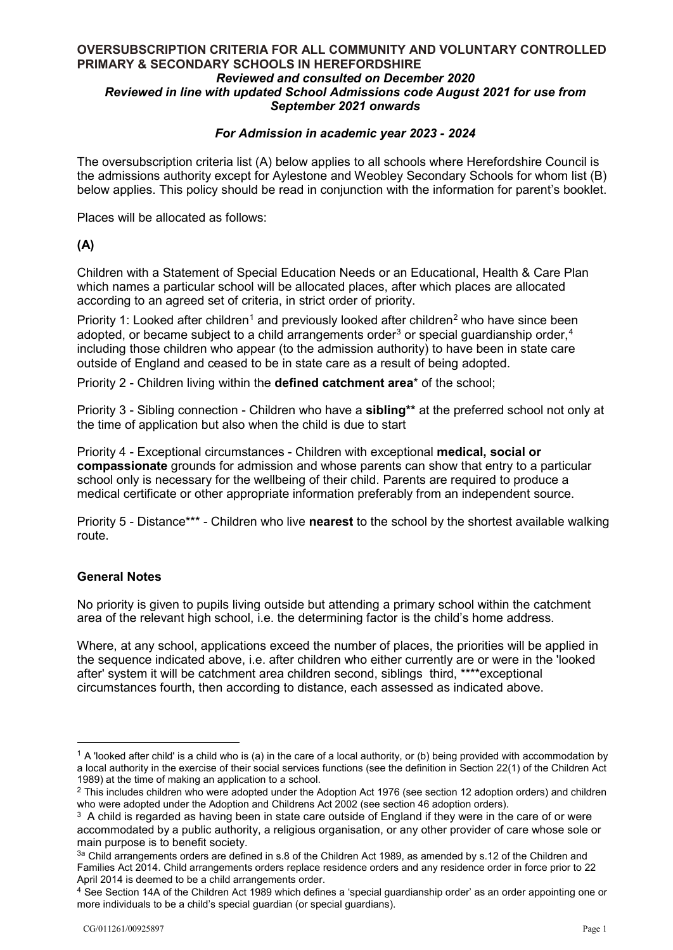## *September 2021 onwards*  **OVERSUBSCRIPTION CRITERIA FOR ALL COMMUNITY AND VOLUNTARY CONTROLLED PRIMARY & SECONDARY SCHOOLS IN HEREFORDSHIRE**  *Reviewed and consulted on December 2020 Reviewed in line with updated School Admissions code August 2021 for use from*

# *For Admission in academic year 2023 - 2024*

 the admissions authority except for Aylestone and Weobley Secondary Schools for whom list (B) The oversubscription criteria list (A) below applies to all schools where Herefordshire Council is below applies. This policy should be read in conjunction with the information for parent's booklet.

Places will be allocated as follows:

## **(A)**

Children with a Statement of Special Education Needs or an Educational, Health & Care Plan which names a particular school will be allocated places, after which places are allocated according to an agreed set of criteria, in strict order of priority.

Priority 1: Looked after children<sup>1</sup> and previously looked after children<sup>[2](#page-0-1)</sup> who have since been adopted, or became subject to a child arrangements order $3$  or special guardianship order,  $4$ including those children who appear (to the admission authority) to have been in state care outside of England and ceased to be in state care as a result of being adopted.

Priority 2 - Children living within the **defined catchment area**\* of the school;

 Priority 3 - Sibling connection - Children who have a **sibling\*\*** at the preferred school not only at the time of application but also when the child is due to start

 school only is necessary for the wellbeing of their child. Parents are required to produce a medical certificate or other appropriate information preferably from an independent source. Priority 4 - Exceptional circumstances - Children with exceptional **medical, social or compassionate** grounds for admission and whose parents can show that entry to a particular

Priority 5 - Distance\*\*\* - Children who live **nearest** to the school by the shortest available walking route.

## **General Notes**

-

 No priority is given to pupils living outside but attending a primary school within the catchment area of the relevant high school, i.e. the determining factor is the child's home address.

 after' system it will be catchment area children second, siblings third, \*\*\*\*exceptional circumstances fourth, then according to distance, each assessed as indicated above. Where, at any school, applications exceed the number of places, the priorities will be applied in the sequence indicated above, i.e. after children who either currently are or were in the 'looked

<span id="page-0-0"></span><sup>1989)</sup> at the time of making an application to a school.  $1$  A 'looked after child' is a child who is (a) in the care of a local authority, or (b) being provided with accommodation by a local authority in the exercise of their social services functions (see the definition in Section 22(1) of the Children Act

<span id="page-0-1"></span>who were adopted under the Adoption and Childrens Act 2002 (see section 46 adoption orders).  $2$  This includes children who were adopted under the Adoption Act 1976 (see section 12 adoption orders) and children

who were adopted under the Adoption and Childrens Act 2002 (see section 46 adoption orders).<br><sup>3</sup> A child is regarded as having been in state care outside of England if they were in the care of or were main purpose is to benefit society. accommodated by a public authority, a religious organisation, or any other provider of care whose sole or

<span id="page-0-2"></span>April 2014 is deemed to be a child arrangements order.  $3a$  Child arrangements orders are defined in s.8 of the Children Act 1989, as amended by s.12 of the Children and Families Act 2014. Child arrangements orders replace residence orders and any residence order in force prior to 22

<span id="page-0-3"></span> more individuals to be a child's special guardian (or special guardians). <sup>4</sup> See Section 14A of the Children Act 1989 which defines a 'special guardianship order' as an order appointing one or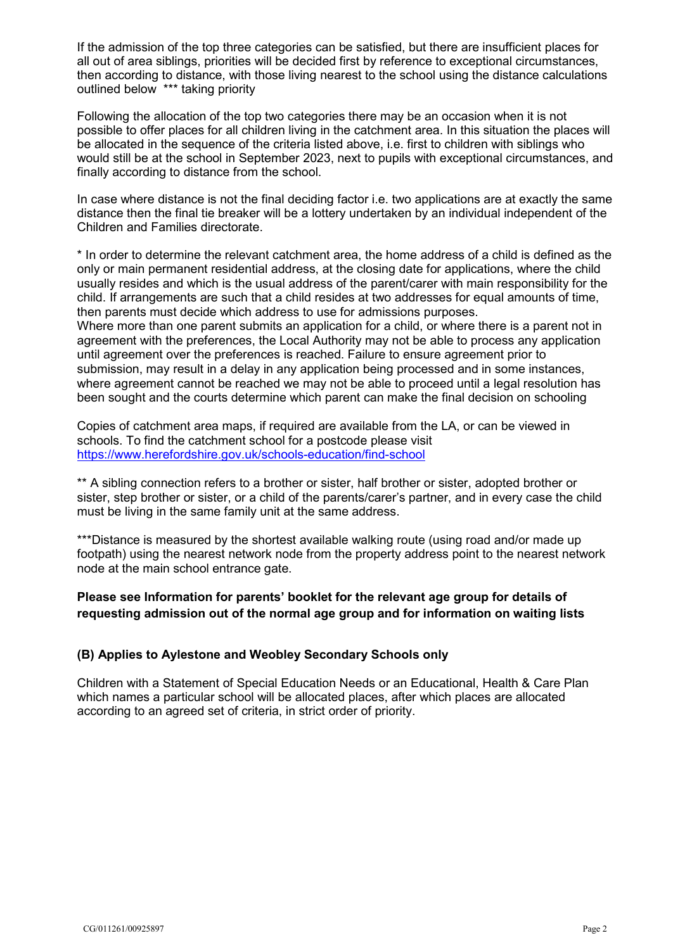If the admission of the top three categories can be satisfied, but there are insufficient places for all out of area siblings, priorities will be decided first by reference to exceptional circumstances, then according to distance, with those living nearest to the school using the distance calculations outlined below \*\*\* taking priority

 be allocated in the sequence of the criteria listed above, i.e. first to children with siblings who Following the allocation of the top two categories there may be an occasion when it is not possible to offer places for all children living in the catchment area. In this situation the places will would still be at the school in September 2023, next to pupils with exceptional circumstances, and finally according to distance from the school.

 Children and Families directorate. In case where distance is not the final deciding factor i.e. two applications are at exactly the same distance then the final tie breaker will be a lottery undertaken by an individual independent of the

 usually resides and which is the usual address of the parent/carer with main responsibility for the child. If arrangements are such that a child resides at two addresses for equal amounts of time, then parents must decide which address to use for admissions purposes. \* In order to determine the relevant catchment area, the home address of a child is defined as the only or main permanent residential address, at the closing date for applications, where the child

 until agreement over the preferences is reached. Failure to ensure agreement prior to Where more than one parent submits an application for a child, or where there is a parent not in agreement with the preferences, the Local Authority may not be able to process any application submission, may result in a delay in any application being processed and in some instances, where agreement cannot be reached we may not be able to proceed until a legal resolution has been sought and the courts determine which parent can make the final decision on schooling

 schools. To find the catchment school for a postcode please visit Copies of catchment area maps, if required are available from the LA, or can be viewed in <https://www.herefordshire.gov.uk/schools-education/find-school>

 sister, step brother or sister, or a child of the parents/carer's partner, and in every case the child must be living in the same family unit at the same address. \*\* A sibling connection refers to a brother or sister, half brother or sister, adopted brother or

 \*\*\*Distance is measured by the shortest available walking route (using road and/or made up node at the main school entrance gate. footpath) using the nearest network node from the property address point to the nearest network

**Please see Information for parents' booklet for the relevant age group for details of requesting admission out of the normal age group and for information on waiting lists** 

## **(B) Applies to Aylestone and Weobley Secondary Schools only**

Children with a Statement of Special Education Needs or an Educational, Health & Care Plan which names a particular school will be allocated places, after which places are allocated according to an agreed set of criteria, in strict order of priority.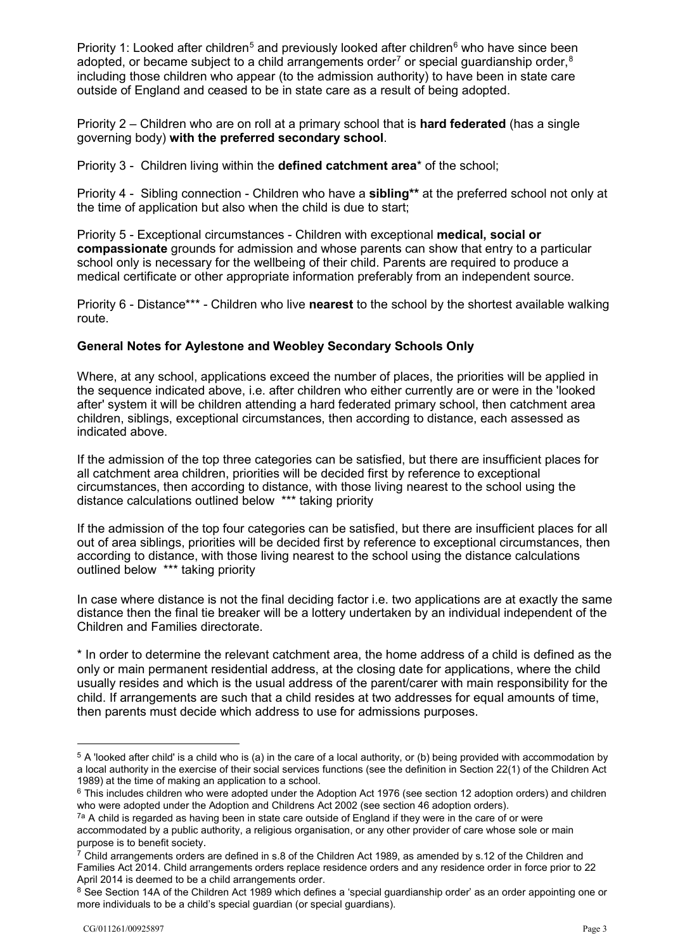Priority 1: Looked after children<sup>5</sup> and previously looked after children<sup>[6](#page-2-1)</sup> who have since been adopted, or became subject to a child arrangements order<sup>[7](#page-2-2)</sup> or special guardianship order, $8$ including those children who appear (to the admission authority) to have been in state care outside of England and ceased to be in state care as a result of being adopted.

Priority 2 – Children who are on roll at a primary school that is **hard federated** (has a single governing body) **with the preferred secondary school**.

Priority 3 - Children living within the **defined catchment area**\* of the school;

 Priority 4 - Sibling connection - Children who have a **sibling\*\*** at the preferred school not only at the time of application but also when the child is due to start;

 school only is necessary for the wellbeing of their child. Parents are required to produce a medical certificate or other appropriate information preferably from an independent source. Priority 5 - Exceptional circumstances - Children with exceptional **medical, social or compassionate** grounds for admission and whose parents can show that entry to a particular

Priority 6 - Distance\*\*\* - Children who live **nearest** to the school by the shortest available walking route.

## **General Notes for Aylestone and Weobley Secondary Schools Only**

 children, siblings, exceptional circumstances, then according to distance, each assessed as indicated above. Where, at any school, applications exceed the number of places, the priorities will be applied in the sequence indicated above, i.e. after children who either currently are or were in the 'looked after' system it will be children attending a hard federated primary school, then catchment area

indicated above.<br>If the admission of the top three categories can be satisfied, but there are insufficient places for circumstances, then according to distance, with those living nearest to the school using the all catchment area children, priorities will be decided first by reference to exceptional distance calculations outlined below \*\*\* taking priority

 If the admission of the top four categories can be satisfied, but there are insufficient places for all out of area siblings, priorities will be decided first by reference to exceptional circumstances, then according to distance, with those living nearest to the school using the distance calculations outlined below \*\*\* taking priority

In case where distance is not the final deciding factor i.e. two applications are at exactly the same distance then the final tie breaker will be a lottery undertaken by an individual independent of the Children and Families directorate.

 usually resides and which is the usual address of the parent/carer with main responsibility for the child. If arrangements are such that a child resides at two addresses for equal amounts of time, then parents must decide which address to use for admissions purposes. \* In order to determine the relevant catchment area, the home address of a child is defined as the only or main permanent residential address, at the closing date for applications, where the child

-

<span id="page-2-0"></span> $^5$  A 'looked after child' is a child who is (a) in the care of a local authority, or (b) being provided with accommodation by 1989) at the time of making an application to a school. a local authority in the exercise of their social services functions (see the definition in Section 22(1) of the Children Act

<span id="page-2-1"></span> $6$  This includes children who were adopted under the Adoption Act 1976 (see section 12 adoption orders) and children who were adopted under the Adoption and Childrens Act 2002 (see section 46 adoption orders).

 $^{7\text{a}}$  A child is regarded as having been in state care outside of England if they were in the care of or were accommodated by a public authority, a religious organisation, or any other provider of care whose sole or main

<span id="page-2-2"></span>April 2014 is deemed to be a child arrangements order. <sup>7</sup> Child arrangements orders are defined in s.8 of the Children Act 1989, as amended by s.12 of the Children and Families Act 2014. Child arrangements orders replace residence orders and any residence order in force prior to 22

<span id="page-2-3"></span> more individuals to be a child's special guardian (or special guardians).  $8$  See Section 14A of the Children Act 1989 which defines a 'special guardianship order' as an order appointing one or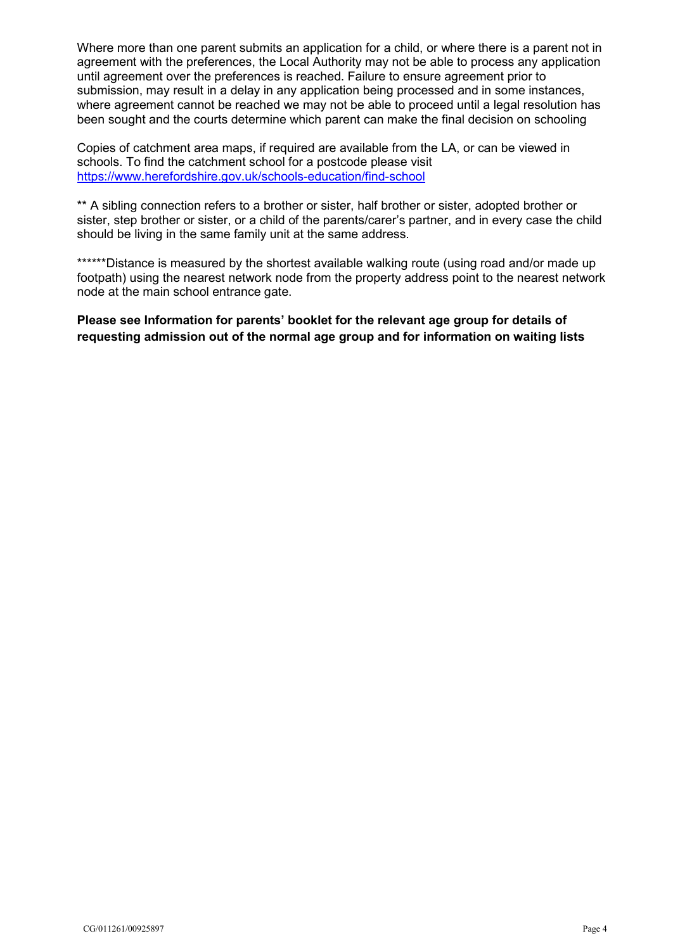until agreement over the preferences is reached. Failure to ensure agreement prior to Where more than one parent submits an application for a child, or where there is a parent not in agreement with the preferences, the Local Authority may not be able to process any application submission, may result in a delay in any application being processed and in some instances, where agreement cannot be reached we may not be able to proceed until a legal resolution has been sought and the courts determine which parent can make the final decision on schooling

 schools. To find the catchment school for a postcode please visit Copies of catchment area maps, if required are available from the LA, or can be viewed in <https://www.herefordshire.gov.uk/schools-education/find-school>

 sister, step brother or sister, or a child of the parents/carer's partner, and in every case the child should be living in the same family unit at the same address. \*\* A sibling connection refers to a brother or sister, half brother or sister, adopted brother or

 \*\*\*\*\*\*Distance is measured by the shortest available walking route (using road and/or made up node at the main school entrance gate. footpath) using the nearest network node from the property address point to the nearest network

**Please see Information for parents' booklet for the relevant age group for details of requesting admission out of the normal age group and for information on waiting lists**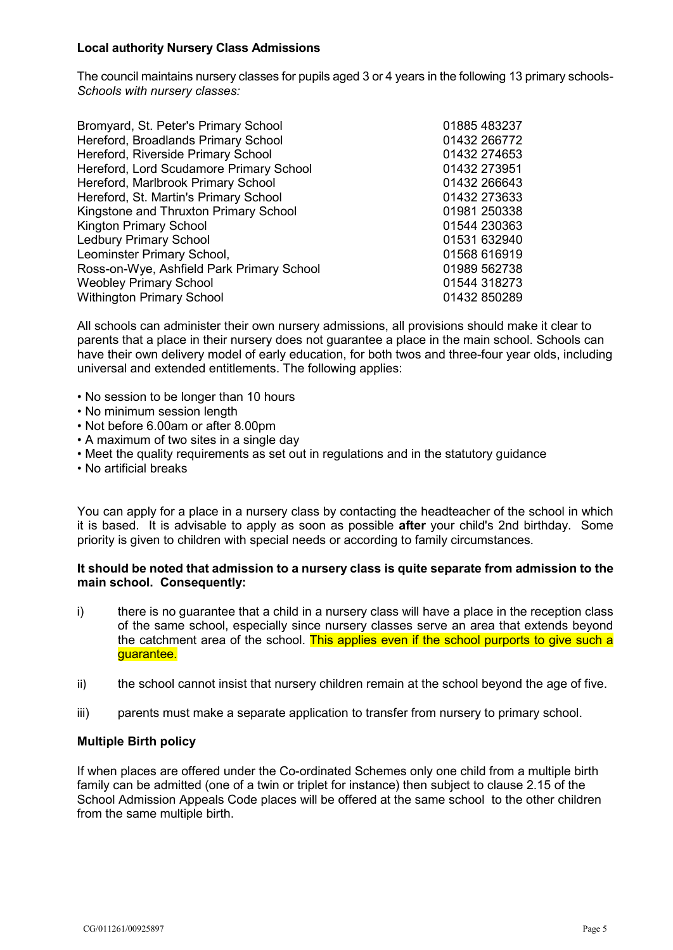## **Local authority Nursery Class Admissions**

 The council maintains nursery classes for pupils aged 3 or 4 years in the following 13 primary schools-*Schools with nursery classes:* 

| Bromyard, St. Peter's Primary School      | 01885 483237 |
|-------------------------------------------|--------------|
|                                           |              |
| Hereford, Broadlands Primary School       | 01432 266772 |
| Hereford, Riverside Primary School        | 01432 274653 |
| Hereford, Lord Scudamore Primary School   | 01432 273951 |
| Hereford, Marlbrook Primary School        | 01432 266643 |
| Hereford, St. Martin's Primary School     | 01432 273633 |
| Kingstone and Thruxton Primary School     | 01981 250338 |
| <b>Kington Primary School</b>             | 01544 230363 |
| <b>Ledbury Primary School</b>             | 01531 632940 |
| Leominster Primary School,                | 01568 616919 |
| Ross-on-Wye, Ashfield Park Primary School | 01989 562738 |
| <b>Weobley Primary School</b>             | 01544 318273 |
| <b>Withington Primary School</b>          | 01432 850289 |

 parents that a place in their nursery does not guarantee a place in the main school. Schools can All schools can administer their own nursery admissions, all provisions should make it clear to have their own delivery model of early education, for both twos and three-four year olds, including universal and extended entitlements. The following applies:

- No session to be longer than 10 hours
- No minimum session length
- Not before 6.00am or after 8.00pm
- A maximum of two sites in a single day
- Meet the quality requirements as set out in regulations and in the statutory guidance
- No artificial breaks

 You can apply for a place in a nursery class by contacting the headteacher of the school in which it is based. It is advisable to apply as soon as possible **after** your child's 2nd birthday. Some priority is given to children with special needs or according to family circumstances.

## **It should be noted that admission to a nursery class is quite separate from admission to the main school. Consequently:**

- of the<br>of the<br>the compared i) there is no guarantee that a child in a nursery class will have a place in the reception class of the same school, especially since nursery classes serve an area that extends beyond the catchment area of the school. This applies even if the school purports to give such a guarantee.
- ii) the school cannot insist that nursery children remain at the school beyond the age of five.
- iii) parents must make a separate application to transfer from nursery to primary school.

#### **Multiple Birth policy**

If when places are offered under the Co-ordinated Schemes only one child from a multiple birth family can be admitted (one of a twin or triplet for instance) then subject to clause 2.15 of the School Admission Appeals Code places will be offered at the same school to the other children from the same multiple birth.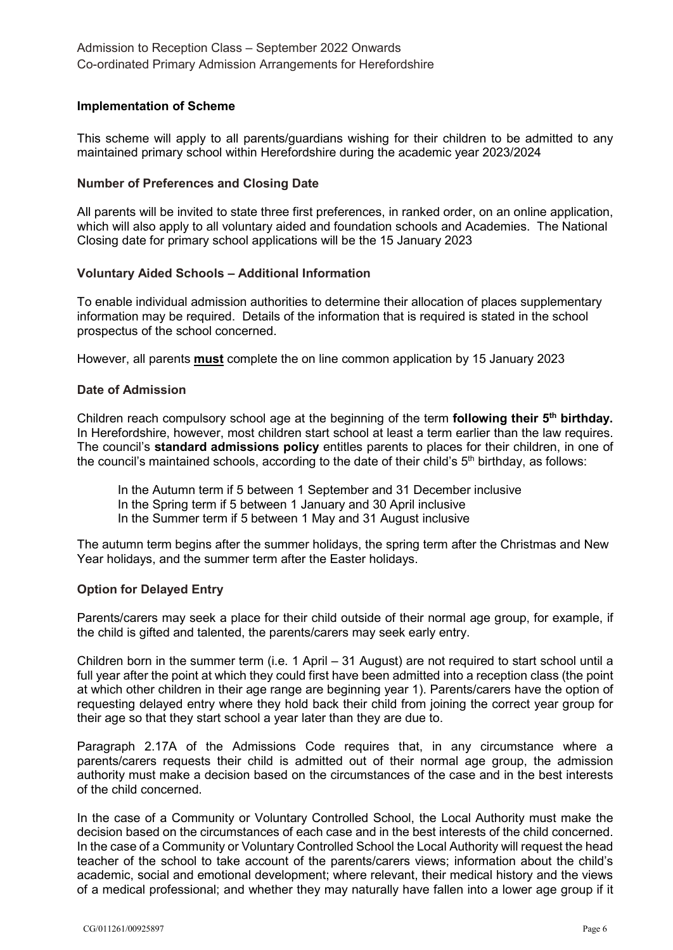## **Implementation of Scheme**

 This scheme will apply to all parents/guardians wishing for their children to be admitted to any maintained primary school within Herefordshire during the academic year 2023/2024

## **Number of Preferences and Closing Date**

 which will also apply to all voluntary aided and foundation schools and Academies. The National All parents will be invited to state three first preferences, in ranked order, on an online application, Closing date for primary school applications will be the 15 January 2023

## **Voluntary Aided Schools – Additional Information**

To enable individual admission authorities to determine their allocation of places supplementary information may be required. Details of the information that is required is stated in the school prospectus of the school concerned.

However, all parents <mark>must</mark> complete the on line common application by 15 January 2023

## **Date of Admission**

 Children reach compulsory school age at the beginning of the term **following their 5th birthday.**  In Herefordshire, however, most children start school at least a term earlier than the law requires.  The council's **standard admissions policy** entitles parents to places for their children, in one of the council's maintained schools, according to the date of their child's  $5<sup>th</sup>$  birthday, as follows:

 In the Summer term if 5 between 1 May and 31 August inclusive In the Autumn term if 5 between 1 September and 31 December inclusive In the Spring term if 5 between 1 January and 30 April inclusive

 The autumn term begins after the summer holidays, the spring term after the Christmas and New Year holidays, and the summer term after the Easter holidays.

#### **Option for Delayed Entry**

Parents/carers may seek a place for their child outside of their normal age group, for example, if the child is gifted and talented, the parents/carers may seek early entry.

 Children born in the summer term (i.e. 1 April – 31 August) are not required to start school until a requesting delayed entry where they hold back their child from joining the correct year group for full year after the point at which they could first have been admitted into a reception class (the point at which other children in their age range are beginning year 1). Parents/carers have the option of their age so that they start school a year later than they are due to.

Paragraph 2.17A of the Admissions Code requires that, in any circumstance where a parents/carers requests their child is admitted out of their normal age group, the admission authority must make a decision based on the circumstances of the case and in the best interests of the child concerned.

 In the case of a Community or Voluntary Controlled School, the Local Authority must make the In the case of a Community or Voluntary Controlled School the Local Authority will request the head teacher of the school to take account of the parents/carers views; information about the child's academic, social and emotional development; where relevant, their medical history and the views decision based on the circumstances of each case and in the best interests of the child concerned. of a medical professional; and whether they may naturally have fallen into a lower age group if it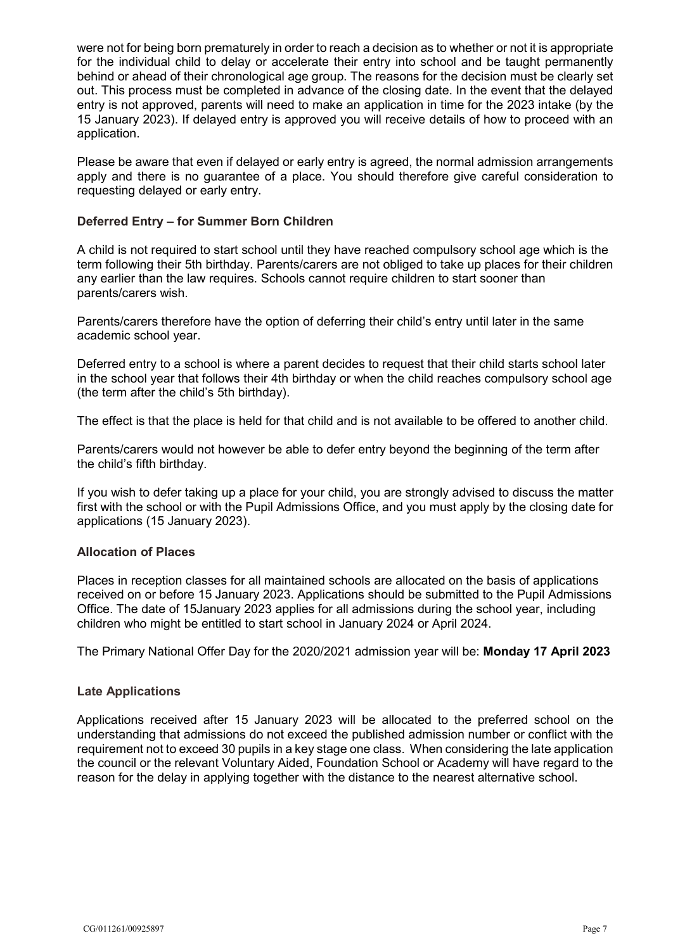were not for being born prematurely in order to reach a decision as to whether or not it is appropriate behind or ahead of their chronological age group. The reasons for the decision must be clearly set out. This process must be completed in advance of the closing date. In the event that the delayed entry is not approved, parents will need to make an application in time for the 2023 intake (by the 15 January 2023). If delayed entry is approved you will receive details of how to proceed with an for the individual child to delay or accelerate their entry into school and be taught permanently application.

Please be aware that even if delayed or early entry is agreed, the normal admission arrangements apply and there is no guarantee of a place. You should therefore give careful consideration to requesting delayed or early entry.

## **Deferred Entry – for Summer Born Children**

 term following their 5th birthday. Parents/carers are not obliged to take up places for their children A child is not required to start school until they have reached compulsory school age which is the any earlier than the law requires. Schools cannot require children to start sooner than parents/carers wish.

Parents/carers therefore have the option of deferring their child's entry until later in the same academic school year.

 Deferred entry to a school is where a parent decides to request that their child starts school later in the school year that follows their 4th birthday or when the child reaches compulsory school age (the term after the child's 5th birthday).

The effect is that the place is held for that child and is not available to be offered to another child.

Parents/carers would not however be able to defer entry beyond the beginning of the term after the child's fifth birthday.

 If you wish to defer taking up a place for your child, you are strongly advised to discuss the matter first with the school or with the Pupil Admissions Office, and you must apply by the closing date for applications (15 January 2023).

## **Allocation of Places**

 Places in reception classes for all maintained schools are allocated on the basis of applications received on or before 15 January 2023. Applications should be submitted to the Pupil Admissions Office. The date of 15January 2023 applies for all admissions during the school year, including children who might be entitled to start school in January 2024 or April 2024.

The Primary National Offer Day for the 2020/2021 admission year will be: **Monday 17 April 2023** 

## **Late Applications**

 understanding that admissions do not exceed the published admission number or conflict with the requirement not to exceed 30 pupils in a key stage one class. When considering the late application Applications received after 15 January 2023 will be allocated to the preferred school on the the council or the relevant Voluntary Aided, Foundation School or Academy will have regard to the reason for the delay in applying together with the distance to the nearest alternative school.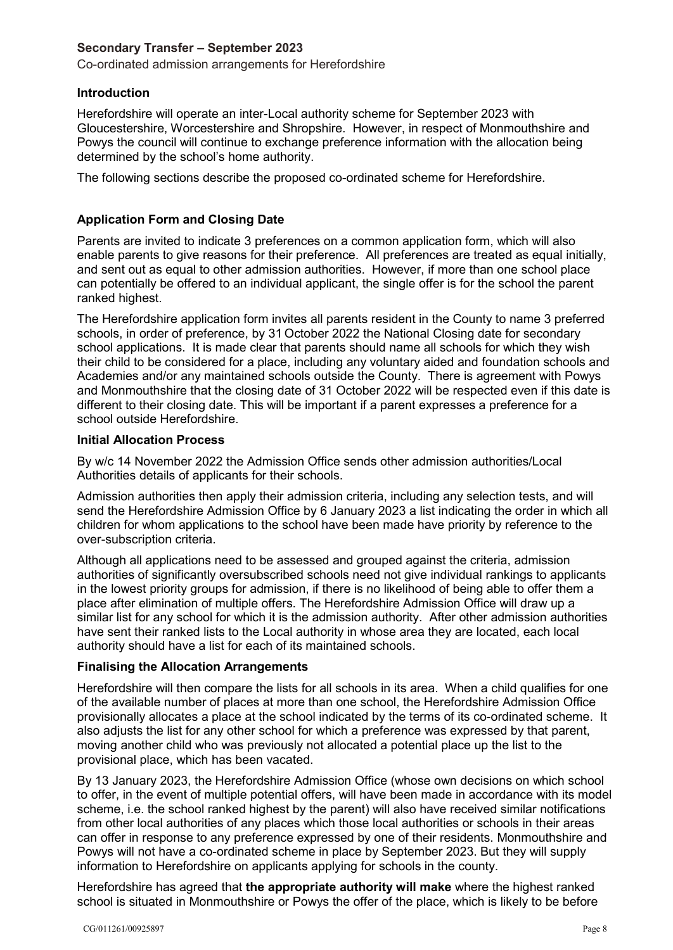## **Secondary Transfer – September 2023**

Co-ordinated admission arrangements for Herefordshire

## **Introduction**

Herefordshire will operate an inter-Local authority scheme for September 2023 with Gloucestershire, Worcestershire and Shropshire. However, in respect of Monmouthshire and Powys the council will continue to exchange preference information with the allocation being determined by the school's home authority.

The following sections describe the proposed co-ordinated scheme for Herefordshire.

## **Application Form and Closing Date**

 enable parents to give reasons for their preference. All preferences are treated as equal initially, can potentially be offered to an individual applicant, the single offer is for the school the parent Parents are invited to indicate 3 preferences on a common application form, which will also and sent out as equal to other admission authorities. However, if more than one school place ranked highest.

 school applications. It is made clear that parents should name all schools for which they wish Academies and/or any maintained schools outside the County. There is agreement with Powys different to their closing date. This will be important if a parent expresses a preference for a The Herefordshire application form invites all parents resident in the County to name 3 preferred schools, in order of preference, by 31 October 2022 the National Closing date for secondary their child to be considered for a place, including any voluntary aided and foundation schools and and Monmouthshire that the closing date of 31 October 2022 will be respected even if this date is school outside Herefordshire.

## **Initial Allocation Process**

 By w/c 14 November 2022 the Admission Office sends other admission authorities/Local Authorities details of applicants for their schools.

 Admission authorities then apply their admission criteria, including any selection tests, and will children for whom applications to the school have been made have priority by reference to the over-subscription criteria. send the Herefordshire Admission Office by 6 January 2023 a list indicating the order in which all

 authorities of significantly oversubscribed schools need not give individual rankings to applicants in the lowest priority groups for admission, if there is no likelihood of being able to offer them a have sent their ranked lists to the Local authority in whose area they are located, each local Although all applications need to be assessed and grouped against the criteria, admission place after elimination of multiple offers. The Herefordshire Admission Office will draw up a similar list for any school for which it is the admission authority. After other admission authorities authority should have a list for each of its maintained schools.

# **Finalising the Allocation Arrangements**

 Herefordshire will then compare the lists for all schools in its area. When a child qualifies for one of the available number of places at more than one school, the Herefordshire Admission Office provisionally allocates a place at the school indicated by the terms of its co-ordinated scheme. It also adjusts the list for any other school for which a preference was expressed by that parent, moving another child who was previously not allocated a potential place up the list to the provisional place, which has been vacated.

By 13 January 2023, the Herefordshire Admission Office (whose own decisions on which school to offer, in the event of multiple potential offers, will have been made in accordance with its model scheme, i.e. the school ranked highest by the parent) will also have received similar notifications from other local authorities of any places which those local authorities or schools in their areas can offer in response to any preference expressed by one of their residents. Monmouthshire and Powys will not have a co-ordinated scheme in place by September 2023. But they will supply information to Herefordshire on applicants applying for schools in the county.

 school is situated in Monmouthshire or Powys the offer of the place, which is likely to be before Herefordshire has agreed that **the appropriate authority will make** where the highest ranked